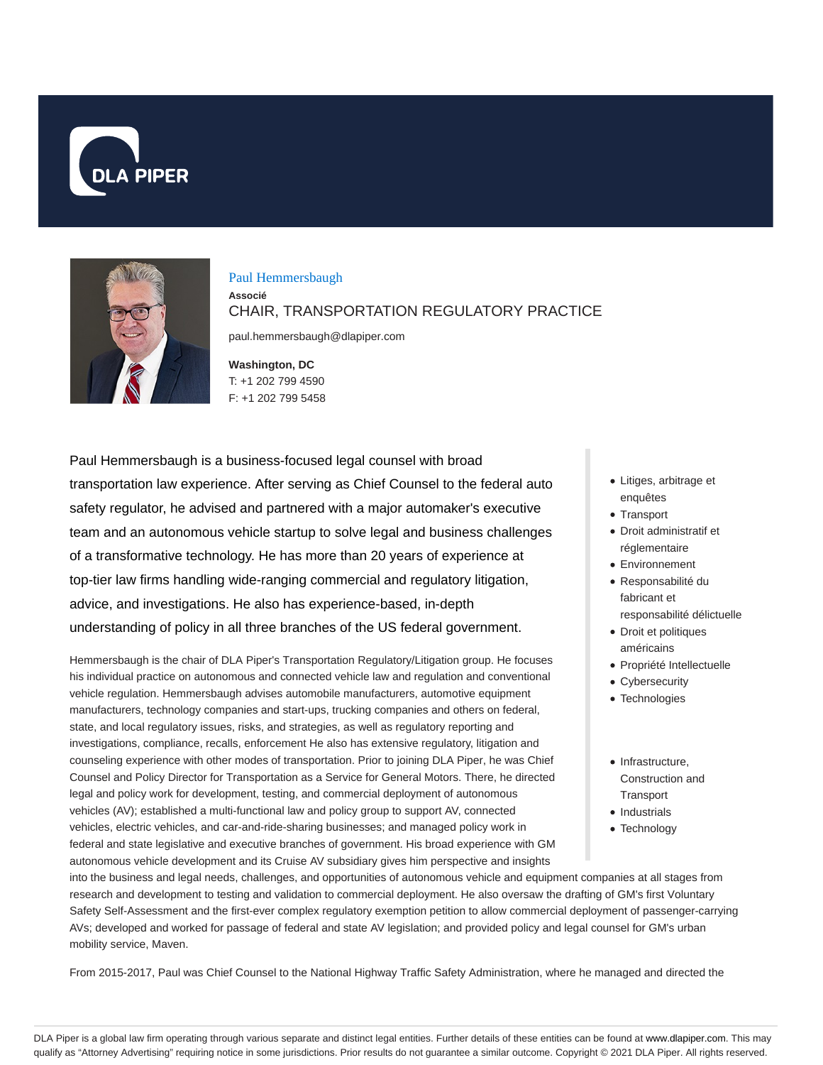



#### Paul Hemmersbaugh

**Associé** CHAIR, TRANSPORTATION REGULATORY PRACTICE

paul.hemmersbaugh@dlapiper.com

**Washington, DC** T: +1 202 799 4590 F: +1 202 799 5458

Paul Hemmersbaugh is a business-focused legal counsel with broad transportation law experience. After serving as Chief Counsel to the federal auto safety regulator, he advised and partnered with a major automaker's executive team and an autonomous vehicle startup to solve legal and business challenges of a transformative technology. He has more than 20 years of experience at top-tier law firms handling wide-ranging commercial and regulatory litigation, advice, and investigations. He also has experience-based, in-depth understanding of policy in all three branches of the US federal government.

Hemmersbaugh is the chair of DLA Piper's Transportation Regulatory/Litigation group. He focuses his individual practice on autonomous and connected vehicle law and regulation and conventional vehicle regulation. Hemmersbaugh advises automobile manufacturers, automotive equipment manufacturers, technology companies and start-ups, trucking companies and others on federal, state, and local regulatory issues, risks, and strategies, as well as regulatory reporting and investigations, compliance, recalls, enforcement He also has extensive regulatory, litigation and counseling experience with other modes of transportation. Prior to joining DLA Piper, he was Chief Counsel and Policy Director for Transportation as a Service for General Motors. There, he directed legal and policy work for development, testing, and commercial deployment of autonomous vehicles (AV); established a multi-functional law and policy group to support AV, connected vehicles, electric vehicles, and car-and-ride-sharing businesses; and managed policy work in federal and state legislative and executive branches of government. His broad experience with GM autonomous vehicle development and its Cruise AV subsidiary gives him perspective and insights

- Litiges, arbitrage et enquêtes
- Transport
- Droit administratif et réglementaire
- Environnement
- Responsabilité du fabricant et responsabilité délictuelle
- Droit et politiques américains
- Propriété Intellectuelle
- Cybersecurity
- Technologies
- $\bullet$  Infrastructure Construction and **Transport**
- Industrials
- Technology

into the business and legal needs, challenges, and opportunities of autonomous vehicle and equipment companies at all stages from research and development to testing and validation to commercial deployment. He also oversaw the drafting of GM's first Voluntary Safety Self-Assessment and the first-ever complex regulatory exemption petition to allow commercial deployment of passenger-carrying AVs; developed and worked for passage of federal and state AV legislation; and provided policy and legal counsel for GM's urban mobility service, Maven.

From 2015-2017, Paul was Chief Counsel to the National Highway Traffic Safety Administration, where he managed and directed the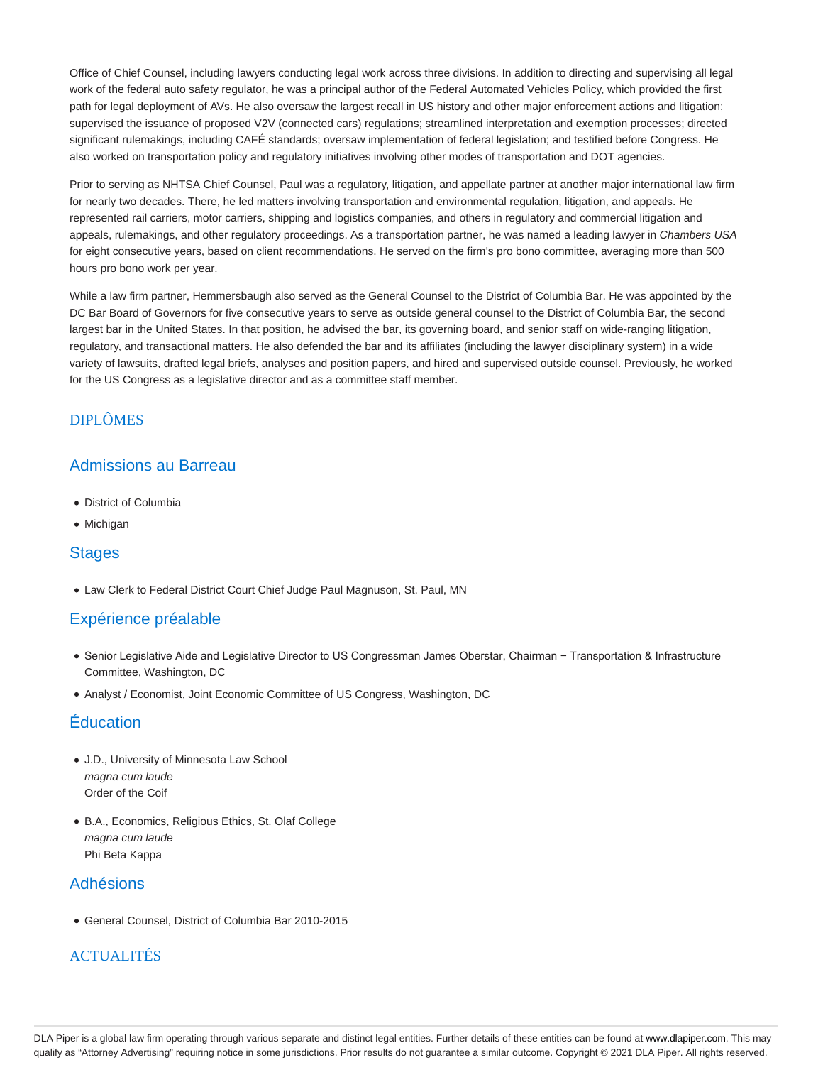Office of Chief Counsel, including lawyers conducting legal work across three divisions. In addition to directing and supervising all legal work of the federal auto safety regulator, he was a principal author of the Federal Automated Vehicles Policy, which provided the first path for legal deployment of AVs. He also oversaw the largest recall in US history and other major enforcement actions and litigation; supervised the issuance of proposed V2V (connected cars) regulations; streamlined interpretation and exemption processes; directed significant rulemakings, including CAFÉ standards; oversaw implementation of federal legislation; and testified before Congress. He also worked on transportation policy and regulatory initiatives involving other modes of transportation and DOT agencies.

Prior to serving as NHTSA Chief Counsel, Paul was a regulatory, litigation, and appellate partner at another major international law firm for nearly two decades. There, he led matters involving transportation and environmental regulation, litigation, and appeals. He represented rail carriers, motor carriers, shipping and logistics companies, and others in regulatory and commercial litigation and appeals, rulemakings, and other regulatory proceedings. As a transportation partner, he was named a leading lawyer in Chambers USA for eight consecutive years, based on client recommendations. He served on the firm's pro bono committee, averaging more than 500 hours pro bono work per year.

While a law firm partner, Hemmersbaugh also served as the General Counsel to the District of Columbia Bar. He was appointed by the DC Bar Board of Governors for five consecutive years to serve as outside general counsel to the District of Columbia Bar, the second largest bar in the United States. In that position, he advised the bar, its governing board, and senior staff on wide-ranging litigation, regulatory, and transactional matters. He also defended the bar and its affiliates (including the lawyer disciplinary system) in a wide variety of lawsuits, drafted legal briefs, analyses and position papers, and hired and supervised outside counsel. Previously, he worked for the US Congress as a legislative director and as a committee staff member.

### DIPLÔMES

### Admissions au Barreau

- District of Columbia
- Michigan

#### **Stages**

Law Clerk to Federal District Court Chief Judge Paul Magnuson, St. Paul, MN

### Expérience préalable

- Senior Legislative Aide and Legislative Director to US Congressman James Oberstar, Chairman − Transportation & Infrastructure Committee, Washington, DC
- Analyst / Economist, Joint Economic Committee of US Congress, Washington, DC

## Éducation

- J.D., University of Minnesota Law School magna cum laude Order of the Coif
- B.A., Economics, Religious Ethics, St. Olaf College magna cum laude Phi Beta Kappa

### Adhésions

General Counsel, District of Columbia Bar 2010-2015

### **ACTUALITÉS**

DLA Piper is a global law firm operating through various separate and distinct legal entities. Further details of these entities can be found at www.dlapiper.com. This may qualify as "Attorney Advertising" requiring notice in some jurisdictions. Prior results do not guarantee a similar outcome. Copyright @ 2021 DLA Piper. All rights reserved.